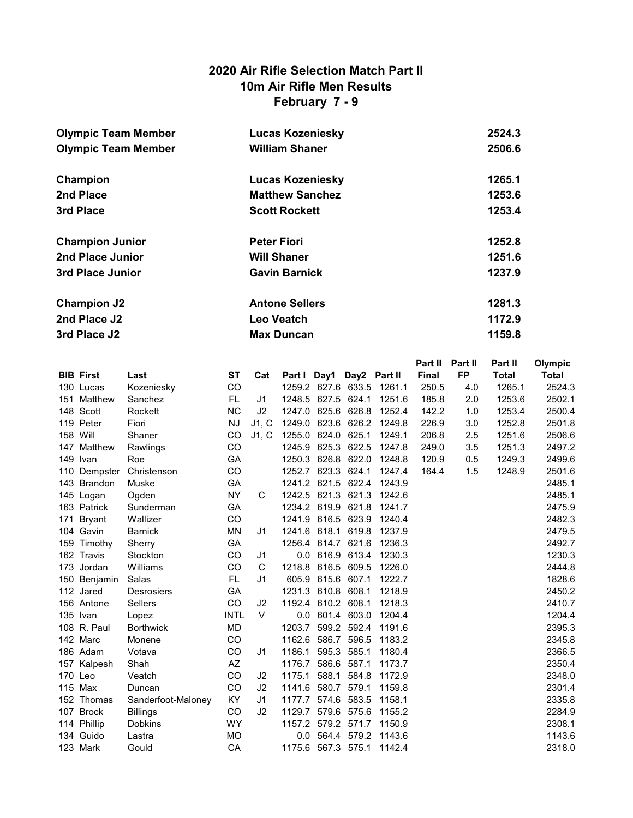# 2020 Air Rifle Selection Match Part II 10m Air Rifle Men Results February 7 - 9

| <b>Olympic Team Member</b> | <b>Lucas Kozeniesky</b> | 2524.3 |
|----------------------------|-------------------------|--------|
| <b>Olympic Team Member</b> | <b>William Shaner</b>   | 2506.6 |
|                            |                         |        |
| Champion                   | <b>Lucas Kozeniesky</b> | 1265.1 |
| 2nd Place                  | <b>Matthew Sanchez</b>  | 1253.6 |
| 3rd Place                  | <b>Scott Rockett</b>    | 1253.4 |
|                            |                         |        |
| <b>Champion Junior</b>     | <b>Peter Fiori</b>      | 1252.8 |
| 2nd Place Junior           | <b>Will Shaner</b>      | 1251.6 |
| 3rd Place Junior           | <b>Gavin Barnick</b>    | 1237.9 |
|                            |                         |        |
| <b>Champion J2</b>         | <b>Antone Sellers</b>   | 1281.3 |
| 2nd Place J2               | Leo Veatch              | 1172.9 |
| 3rd Place J2               | <b>Max Duncan</b>       | 1159.8 |

|     |                  |                    |             |                |                          |       |             |        | Part II      | Part II   | Part II      | Olympic      |
|-----|------------------|--------------------|-------------|----------------|--------------------------|-------|-------------|--------|--------------|-----------|--------------|--------------|
|     | <b>BIB First</b> | Last               | <b>ST</b>   | Cat            | Part I Day1 Day2 Part II |       |             |        | <b>Final</b> | <b>FP</b> | <b>Total</b> | <b>Total</b> |
|     | 130 Lucas        | Kozeniesky         | CO          |                | 1259.2 627.6 633.5       |       |             | 1261.1 | 250.5        | 4.0       | 1265.1       | 2524.3       |
| 151 | Matthew          | Sanchez            | FL.         | J <sub>1</sub> | 1248.5 627.5 624.1       |       |             | 1251.6 | 185.8        | 2.0       | 1253.6       | 2502.1       |
|     | 148 Scott        | Rockett            | <b>NC</b>   | J <sub>2</sub> | 1247.0                   |       | 625.6 626.8 | 1252.4 | 142.2        | 1.0       | 1253.4       | 2500.4       |
|     | 119 Peter        | Fiori              | <b>NJ</b>   | J1, C          | 1249.0                   |       | 623.6 626.2 | 1249.8 | 226.9        | 3.0       | 1252.8       | 2501.8       |
|     | 158 Will         | Shaner             | CO          | J1, C          | 1255.0 624.0 625.1       |       |             | 1249.1 | 206.8        | 2.5       | 1251.6       | 2506.6       |
|     | 147 Matthew      | Rawlings           | <b>CO</b>   |                | 1245.9 625.3 622.5       |       |             | 1247.8 | 249.0        | 3.5       | 1251.3       | 2497.2       |
|     | 149 Ivan         | Roe                | GA          |                | 1250.3                   | 626.8 | 622.0       | 1248.8 | 120.9        | 0.5       | 1249.3       | 2499.6       |
| 110 | Dempster         | Christenson        | CO          |                | 1252.7 623.3 624.1       |       |             | 1247.4 | 164.4        | 1.5       | 1248.9       | 2501.6       |
| 143 | Brandon          | Muske              | GA          |                | 1241.2 621.5 622.4       |       |             | 1243.9 |              |           |              | 2485.1       |
|     | 145 Logan        | Ogden              | <b>NY</b>   | C              | 1242.5 621.3 621.3       |       |             | 1242.6 |              |           |              | 2485.1       |
|     | 163 Patrick      | Sunderman          | GA          |                | 1234.2 619.9             |       | 621.8       | 1241.7 |              |           |              | 2475.9       |
| 171 | Bryant           | Wallizer           | CO          |                | 1241.9 616.5 623.9       |       |             | 1240.4 |              |           |              | 2482.3       |
|     | 104 Gavin        | <b>Barnick</b>     | MN          | J <sub>1</sub> | 1241.6 618.1 619.8       |       |             | 1237.9 |              |           |              | 2479.5       |
|     | 159 Timothy      | Sherry             | GA          |                | 1256.4 614.7 621.6       |       |             | 1236.3 |              |           |              | 2492.7       |
|     | 162 Travis       | Stockton           | CO          | J1             | 0.0                      | 616.9 | 613.4       | 1230.3 |              |           |              | 1230.3       |
|     | 173 Jordan       | Williams           | CO          | C              | 1218.8                   |       | 616.5 609.5 | 1226.0 |              |           |              | 2444.8       |
|     | 150 Benjamin     | Salas              | FL.         | J <sub>1</sub> | 605.9                    |       | 615.6 607.1 | 1222.7 |              |           |              | 1828.6       |
|     | 112 Jared        | <b>Desrosiers</b>  | <b>GA</b>   |                | 1231.3                   | 610.8 | 608.1       | 1218.9 |              |           |              | 2450.2       |
|     | 156 Antone       | <b>Sellers</b>     | CO          | J2             | 1192.4                   | 610.2 | 608.1       | 1218.3 |              |           |              | 2410.7       |
|     | 135 Ivan         | Lopez              | <b>INTL</b> | $\vee$         | 0.0                      |       | 601.4 603.0 | 1204.4 |              |           |              | 1204.4       |
|     | 108 R. Paul      | <b>Borthwick</b>   | <b>MD</b>   |                | 1203.7                   |       | 599.2 592.4 | 1191.6 |              |           |              | 2395.3       |
|     | 142 Marc         | Monene             | CO          |                | 1162.6                   | 586.7 | 596.5       | 1183.2 |              |           |              | 2345.8       |
|     | 186 Adam         | Votava             | CO          | J <sub>1</sub> | 1186.1                   | 595.3 | 585.1       | 1180.4 |              |           |              | 2366.5       |
|     | 157 Kalpesh      | Shah               | AZ          |                | 1176.7                   | 586.6 | 587.1       | 1173.7 |              |           |              | 2350.4       |
|     | 170 Leo          | Veatch             | CO          | J <sub>2</sub> | 1175.1                   | 588.1 | 584.8       | 1172.9 |              |           |              | 2348.0       |
|     | 115 Max          | Duncan             | CO          | J <sub>2</sub> | 1141.6                   | 580.7 | 579.1       | 1159.8 |              |           |              | 2301.4       |
|     | 152 Thomas       | Sanderfoot-Maloney | KY.         | J <sub>1</sub> | 1177.7                   | 574.6 | 583.5       | 1158.1 |              |           |              | 2335.8       |
| 107 | <b>Brock</b>     | <b>Billings</b>    | CO          | J <sub>2</sub> | 1129.7                   | 579.6 | 575.6       | 1155.2 |              |           |              | 2284.9       |
|     | 114 Phillip      | <b>Dobkins</b>     | <b>WY</b>   |                | 1157.2 579.2 571.7       |       |             | 1150.9 |              |           |              | 2308.1       |
|     | 134 Guido        | Lastra             | <b>MO</b>   |                | 0.0                      |       | 564.4 579.2 | 1143.6 |              |           |              | 1143.6       |
|     | 123 Mark         | Gould              | CA          |                | 1175.6                   |       | 567.3 575.1 | 1142.4 |              |           |              | 2318.0       |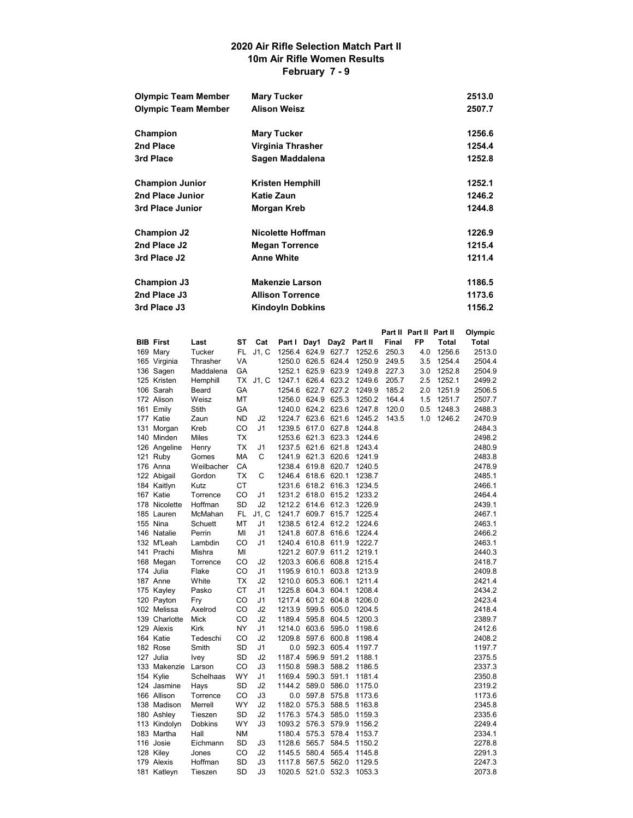#### 2020 Air Rifle Selection Match Part II 10m Air Rifle Women Results February 7 - 9

| <b>Olympic Team Member</b> | <b>Mary Tucker</b>      | 2513.0 |
|----------------------------|-------------------------|--------|
| <b>Olympic Team Member</b> | <b>Alison Weisz</b>     | 2507.7 |
| Champion                   | <b>Mary Tucker</b>      | 1256.6 |
| 2nd Place                  | Virginia Thrasher       | 1254.4 |
| 3rd Place                  | Sagen Maddalena         | 1252.8 |
| <b>Champion Junior</b>     | <b>Kristen Hemphill</b> | 1252.1 |
| 2nd Place Junior           | Katie Zaun              | 1246.2 |
| 3rd Place Junior           | Morgan Kreb             | 1244.8 |
| <b>Champion J2</b>         | Nicolette Hoffman       | 1226.9 |
| 2nd Place J2               | <b>Megan Torrence</b>   | 1215.4 |
| 3rd Place J2               | <b>Anne White</b>       | 1211.4 |
| Champion J3                | <b>Makenzie Larson</b>  | 1186.5 |
| 2nd Place J3               | <b>Allison Torrence</b> | 1173.6 |
| 3rd Place J3               | <b>Kindoyln Dobkins</b> | 1156.2 |

|                  |             |           |                |              |                    |              |        | Part II Part II Part II |     |              | Olympic |
|------------------|-------------|-----------|----------------|--------------|--------------------|--------------|--------|-------------------------|-----|--------------|---------|
| <b>BIB First</b> | Last        | SТ        | Cat            | Part I Day1  |                    | Day2 Part II |        | <b>Final</b>            | FP  | <b>Total</b> | Total   |
| 169 Mary         | Tucker      | FL        | J1, C          |              | 1256.4 624.9 627.7 |              | 1252.6 | 250.3                   | 4.0 | 1256.6       | 2513.0  |
| 165 Virginia     | Thrasher    | VA        |                | 1250.0       |                    | 626.5 624.4  | 1250.9 | 249.5                   | 3.5 | 1254.4       | 2504.4  |
| 136 Sagen        | Maddalena   | GA        |                | 1252.1       |                    | 625.9 623.9  | 1249.8 | 227.3                   | 3.0 | 1252.8       | 2504.9  |
| 125 Kristen      | Hemphill    | ТX        | J1, C          | 1247.1       |                    | 626.4 623.2  | 1249.6 | 205.7                   | 2.5 | 1252.1       | 2499.2  |
| 106 Sarah        | Beard       | GA        |                | 1254.6       | 622.7              | 627.2        | 1249.9 | 185.2                   | 2.0 | 1251.9       | 2506.5  |
| 172 Alison       | Weisz       | МT        |                | 1256.0       |                    | 624.9 625.3  | 1250.2 | 164.4                   | 1.5 | 1251.7       | 2507.7  |
| 161 Emily        | Stith       | GA        |                |              | 1240.0 624.2 623.6 |              | 1247.8 | 120.0                   | 0.5 | 1248.3       | 2488.3  |
| 177 Katie        | Zaun        | <b>ND</b> | J <sub>2</sub> | 1224.7       |                    | 623.6 621.6  | 1245.2 | 143.5                   | 1.0 | 1246.2       | 2470.9  |
| 131 Morgan       | Kreb        | CO        | J1             |              | 1239.5 617.0 627.8 |              | 1244.8 |                         |     |              | 2484.3  |
| 140 Minden       | Miles       | ТX        |                |              | 1253.6 621.3 623.3 |              | 1244.6 |                         |     |              | 2498.2  |
| 126 Angeline     | Henry       | <b>TX</b> | J1             |              | 1237.5 621.6 621.8 |              | 1243.4 |                         |     |              | 2480.9  |
| 121 Ruby         | Gomes       | МA        | С              | 1241.9       |                    | 621.3 620.6  | 1241.9 |                         |     |              | 2483.8  |
| 176 Anna         | Weilbacher  | CA        |                | 1238.4       |                    | 619.8 620.7  | 1240.5 |                         |     |              | 2478.9  |
| 122 Abigail      | Gordon      | ТX        | С              |              | 1246.4 618.6 620.1 |              | 1238.7 |                         |     |              | 2485.1  |
| 184 Kaitlyn      | Kutz        | СT        |                |              | 1231.6 618.2 616.3 |              | 1234.5 |                         |     |              | 2466.1  |
| 167 Katie        | Torrence    | CO        | J1             |              | 1231.2 618.0 615.2 |              | 1233.2 |                         |     |              | 2464.4  |
| 178 Nicolette    | Hoffman     | SD        | J2             |              | 1212.2 614.6 612.3 |              | 1226.9 |                         |     |              | 2439.1  |
| 185 Lauren       | McMahan     | FL        | J1, C          | 1241.7       |                    | 609.7 615.7  | 1225.4 |                         |     |              | 2467.1  |
| 155 Nina         | Schuett     | МT        | J1             | 1238.5       | 612.4              | 612.2        | 1224.6 |                         |     |              | 2463.1  |
| 146 Natalie      | Perrin      | MI        | J1             |              | 1241.8 607.8 616.6 |              | 1224.4 |                         |     |              | 2466.2  |
| 132 M'Leah       | Lambdin     | CO        | J1             |              | 1240.4 610.8 611.9 |              | 1222.7 |                         |     |              | 2463.1  |
| 141 Prachi       | Mishra      | MI        |                |              | 1221.2 607.9 611.2 |              | 1219.1 |                         |     |              | 2440.3  |
| 168 Megan        | Torrence    | CO        | J <sub>2</sub> | 1203.3       |                    | 606.6 608.8  | 1215.4 |                         |     |              | 2418.7  |
| 174 Julia        | Flake       | CO        | J1             | 1195.9 610.1 |                    | 603.8        | 1213.9 |                         |     |              | 2409.8  |
| 187 Anne         | White       | <b>TX</b> | J2             | 1210.0 605.3 |                    | 606.1        | 1211.4 |                         |     |              | 2421.4  |
| 175 Kayley       | Pasko       | СT        | J1             |              | 1225.8 604.3 604.1 |              | 1208.4 |                         |     |              | 2434.2  |
| 120 Payton       | Fry         | CO        | J1             |              | 1217.4 601.2 604.8 |              | 1206.0 |                         |     |              | 2423.4  |
| 102 Melissa      | Axelrod     | CO        | J <sub>2</sub> | 1213.9       | 599.5              | 605.0        | 1204.5 |                         |     |              | 2418.4  |
| 139 Charlotte    | Mick        | CO        | J <sub>2</sub> |              | 1189.4 595.8 604.5 |              | 1200.3 |                         |     |              | 2389.7  |
| 129 Alexis       | Kirk        | NY        | J1             |              | 1214.0 603.6       | 595.0        | 1198.6 |                         |     |              | 2412.6  |
| 164 Katie        | Tedeschi    | CO        | J <sub>2</sub> |              | 1209.8 597.6 600.8 |              | 1198.4 |                         |     |              | 2408.2  |
| 182 Rose         | Smith       | SD        | J1             | $0.0\,$      |                    | 592.3 605.4  | 1197.7 |                         |     |              | 1197.7  |
| 127 Julia        | <b>Ivey</b> | SD        | J <sub>2</sub> | 1187.4       | 596.9              | 591.2        | 1188.1 |                         |     |              | 2375.5  |
| 133 Makenzie     | Larson      | CO        | J3             |              | 1150.8 598.3       | 588.2        | 1186.5 |                         |     |              | 2337.3  |
| 154 Kylie        | Schelhaas   | WY        | J1             |              | 1169.4 590.3       | 591.1        | 1181.4 |                         |     |              | 2350.8  |
| 124 Jasmine      | Hays        | SD        | J2             | 1144.2       | 589.0              | 586.0        | 1175.0 |                         |     |              | 2319.2  |
| 166 Allison      | Torrence    | CO        | J3             |              | 0.0 597.8 575.8    |              | 1173.6 |                         |     |              | 1173.6  |
| 138 Madison      | Merrell     | <b>WY</b> | J2             |              | 1182.0 575.3       | 588.5        | 1163.8 |                         |     |              | 2345.8  |
| 180 Ashley       | Tieszen     | SD        | J2             |              | 1176.3 574.3 585.0 |              | 1159.3 |                         |     |              | 2335.6  |
| 113 Kindolyn     | Dobkins     | WY        | J3             |              | 1093.2 576.3 579.9 |              | 1156.2 |                         |     |              | 2249.4  |
| 183 Martha       | Hall        | <b>NM</b> |                | 1180.4       | 575.3              | 578.4        | 1153.7 |                         |     |              | 2334.1  |
| 116 Josie        | Eichmann    | SD        | JЗ             | 1128.6       | 565.7              | 584.5        | 1150.2 |                         |     |              | 2278.8  |
| 128 Kiley        | Jones       | CO        | J2             | 1145.5       | 580.4              | 565.4        | 1145.8 |                         |     |              | 2291.3  |
| 179 Alexis       | Hoffman     | SD        | J3             |              | 1117.8 567.5 562.0 |              | 1129.5 |                         |     |              | 2247.3  |
| 181 Katleyn      | Tieszen     | SD        | J3             |              | 1020.5 521.0 532.3 |              | 1053.3 |                         |     |              | 2073.8  |